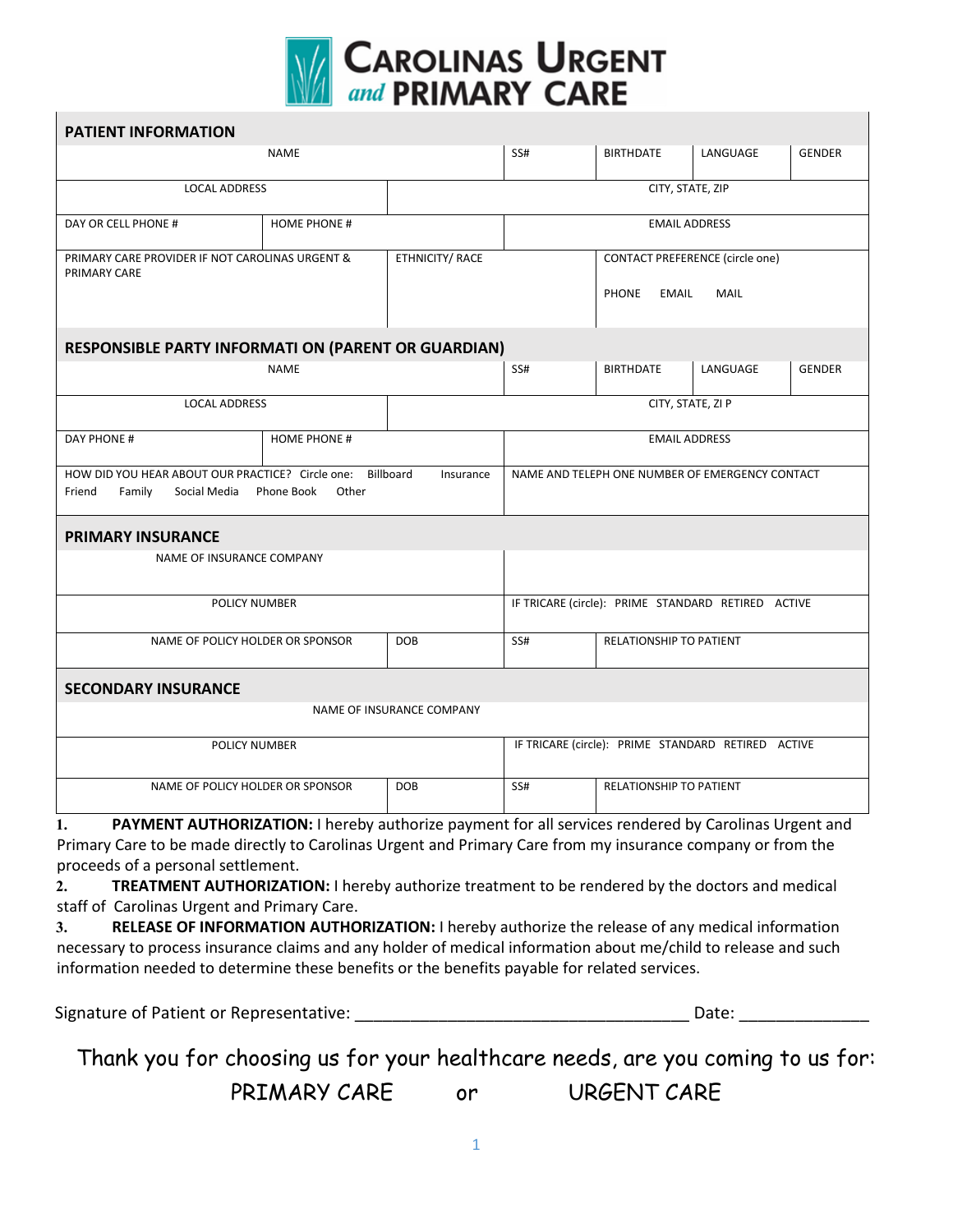

| <b>PATIENT INFORMATION</b>                                                                                                         |             |                                                    |                                                                                       |                         |          |               |
|------------------------------------------------------------------------------------------------------------------------------------|-------------|----------------------------------------------------|---------------------------------------------------------------------------------------|-------------------------|----------|---------------|
| <b>NAME</b>                                                                                                                        |             |                                                    | SS#                                                                                   | <b>BIRTHDATE</b>        | LANGUAGE | <b>GENDER</b> |
| <b>LOCAL ADDRESS</b>                                                                                                               |             |                                                    |                                                                                       | CITY, STATE, ZIP        |          |               |
| DAY OR CELL PHONE #<br><b>HOME PHONE #</b>                                                                                         |             |                                                    | <b>EMAIL ADDRESS</b>                                                                  |                         |          |               |
| PRIMARY CARE PROVIDER IF NOT CAROLINAS URGENT &<br>PRIMARY CARE                                                                    |             | ETHNICITY/ RACE                                    | <b>CONTACT PREFERENCE (circle one)</b><br><b>MAIL</b><br><b>PHONE</b><br><b>EMAIL</b> |                         |          |               |
| <b>RESPONSIBLE PARTY INFORMATI ON (PARENT OR GUARDIAN)</b>                                                                         |             |                                                    |                                                                                       |                         |          |               |
|                                                                                                                                    | <b>NAME</b> |                                                    | SS#                                                                                   | <b>BIRTHDATE</b>        | LANGUAGE | <b>GENDER</b> |
| <b>LOCAL ADDRESS</b>                                                                                                               |             |                                                    | CITY, STATE, ZI P                                                                     |                         |          |               |
| DAY PHONE #                                                                                                                        |             | <b>EMAIL ADDRESS</b>                               |                                                                                       |                         |          |               |
| HOW DID YOU HEAR ABOUT OUR PRACTICE? Circle one: Billboard<br>Insurance<br>Friend<br>Family<br>Social Media<br>Phone Book<br>Other |             |                                                    | NAME AND TELEPH ONE NUMBER OF EMERGENCY CONTACT                                       |                         |          |               |
| <b>PRIMARY INSURANCE</b><br>NAME OF INSURANCE COMPANY                                                                              |             |                                                    |                                                                                       |                         |          |               |
| <b>POLICY NUMBER</b>                                                                                                               |             |                                                    | IF TRICARE (circle): PRIME STANDARD RETIRED ACTIVE                                    |                         |          |               |
| NAME OF POLICY HOLDER OR SPONSOR                                                                                                   |             | <b>DOB</b>                                         | SS#                                                                                   | RELATIONSHIP TO PATIENT |          |               |
| <b>SECONDARY INSURANCE</b>                                                                                                         |             | NAME OF INSURANCE COMPANY                          |                                                                                       |                         |          |               |
| POLICY NUMBER                                                                                                                      |             | IF TRICARE (circle): PRIME STANDARD RETIRED ACTIVE |                                                                                       |                         |          |               |
| NAME OF POLICY HOLDER OR SPONSOR<br><b>DOB</b>                                                                                     |             |                                                    | SS#                                                                                   | RELATIONSHIP TO PATIENT |          |               |
| PAYMENT AUTHORIZATION: I hereby authorize payment for all services rendered by Carolinas Urgent and<br>1.                          |             |                                                    |                                                                                       |                         |          |               |

Primary Care to be made directly to Carolinas Urgent and Primary Care from my insurance company or from the proceeds of a personal settlement.

**2. TREATMENT AUTHORIZATION:** I hereby authorize treatment to be rendered by the doctors and medical staff of Carolinas Urgent and Primary Care.

**3. RELEASE OF INFORMATION AUTHORIZATION:** I hereby authorize the release of any medical information necessary to process insurance claims and any holder of medical information about me/child to release and such information needed to determine these benefits or the benefits payable for related services.

Signature of Patient or Representative: \_\_\_\_\_\_\_\_\_\_\_\_\_\_\_\_\_\_\_\_\_\_\_\_\_\_\_\_\_\_\_\_\_\_\_\_ Date: \_\_\_\_\_\_\_\_\_\_\_\_\_\_

Thank you for choosing us for your healthcare needs, are you coming to us for: PRIMARY CARE or URGENT CARE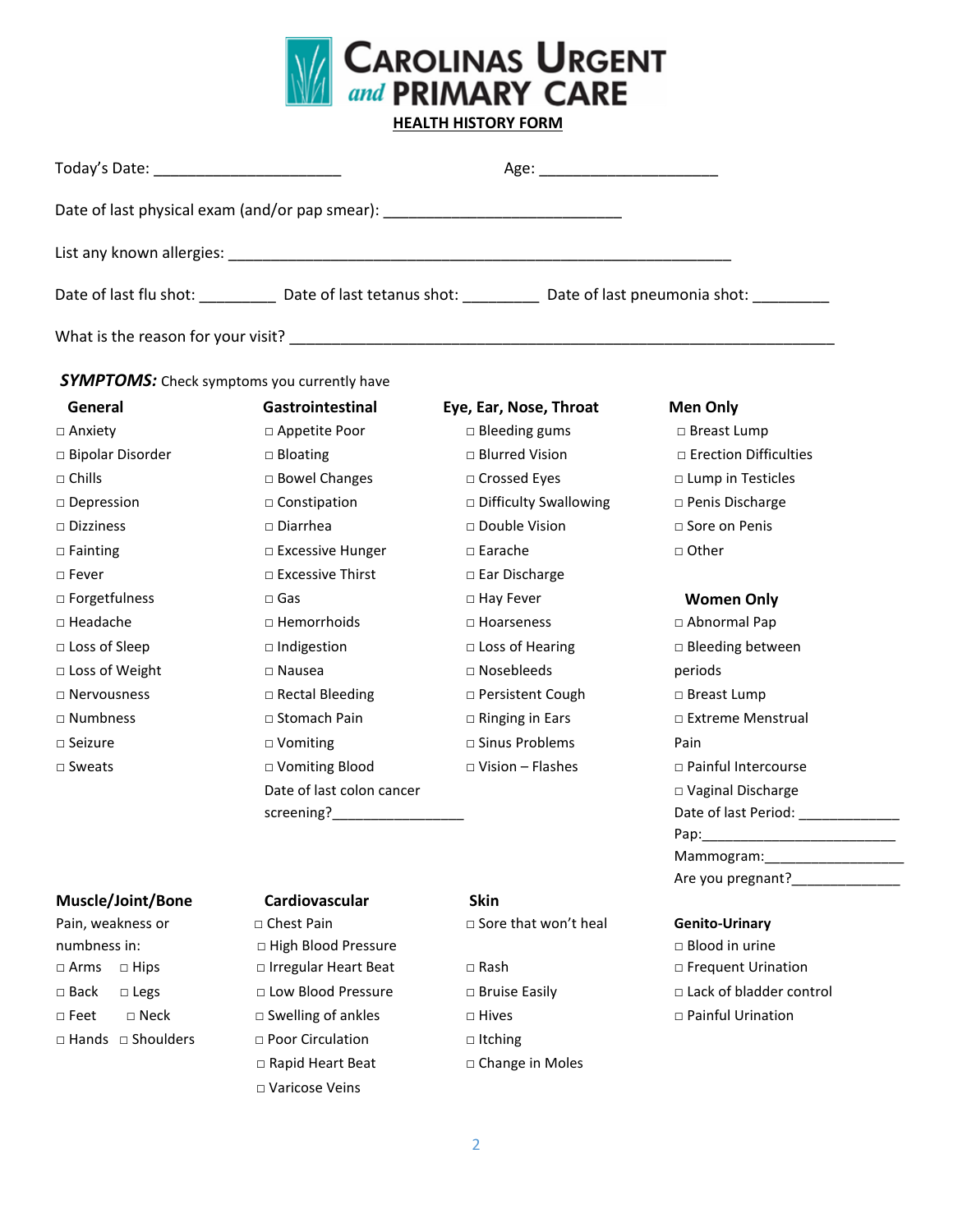

**HEALTH HISTORY FORM**

| Today's Date: _____________________________ |                                                                                  | Age: ____________________________                                              |  |  |
|---------------------------------------------|----------------------------------------------------------------------------------|--------------------------------------------------------------------------------|--|--|
|                                             | Date of last physical exam (and/or pap smear): _________________________________ |                                                                                |  |  |
|                                             |                                                                                  |                                                                                |  |  |
|                                             |                                                                                  | Date of last flu shot: Date of last tetanus shot: Date of last pneumonia shot: |  |  |
| What is the reason for your visit?          |                                                                                  |                                                                                |  |  |

*SYMPTOMS:* Check symptoms you currently have

| General               |
|-----------------------|
| □ Anxiety             |
| □ Bipolar Disorder    |
| $\sqcap$ Chills       |
| $\square$ Depression  |
| $\sqcap$ Dizziness    |
| $\Box$ Fainting       |
| □ Fever               |
| □ Forgetfulness       |
| $\sqcap$ Headache     |
| $\Box$ Loss of Sleep  |
| $\Box$ Loss of Weight |
| $\sqcap$ Nervousness  |
| $\sqcap$ Numbness     |
| $\Box$ Seizure        |
| $\sqcap$ Sweats       |
|                       |

## Gastrointestinal Eye, Ear, Nose, Throat Men Only □ Appetite Poor □ Bleeding gums □ Breast Lump □ Bowel Changes □ Crossed Eyes □ Lump in Testicles □ Constipation □ □ Difficulty Swallowing □ Penis Discharge □ Diarrhea □ Double Vision □ Sore on Penis □ Excessive Hunger □ Earache □ □ □ Other □ Excessive Thirst □ Ear Discharge □ Gas □ Denomicalness □ Hay Fever **Women Only** □ Hemorrhoids □ Hoarseness □ Abnormal Pap □ Indigestion □ Loss of Hearing □ Bleeding between □ Nausea □ Nosebleeds periods □ Rectal Bleeding □ Persistent Cough □ Breast Lump □ Vomiting □ Sinus Problems Pain Date of last colon cancer

□ Bloating □ District District District District District Difficulties

# □ Stomach Pain □ Binging in Ears □ Extreme Menstrual □ Vomiting Blood □ Vision – Flashes □ Painful Intercourse □ Vaginal Discharge Date of last Period: \_\_\_\_\_\_\_\_\_\_\_ Pap: Mammogram: Are you pregnant?

### **Muscle/Joint/Bone Cardiovascular Skin**

Pain, weakness or □ Chest Pain □ □ Sore that won't heal **Genito-Urinary** numbness in: □ High Blood Pressure□ Blood in urine □ Arms □ Hips □ Irregular Heart Beat □ Rash □ Frequent Urination □ Feet □ Neck □ Swelling of ankles □ Hives □ Painful Urination □ Hands □ Shoulders □ Poor Circulation □ Itching □ Rapid Heart Beat □ □ Change in Moles □ Varicose Veins

screening?

□ Back □ Legs □ Low Blood Pressure □ Bruise Easily □ Lack of bladder control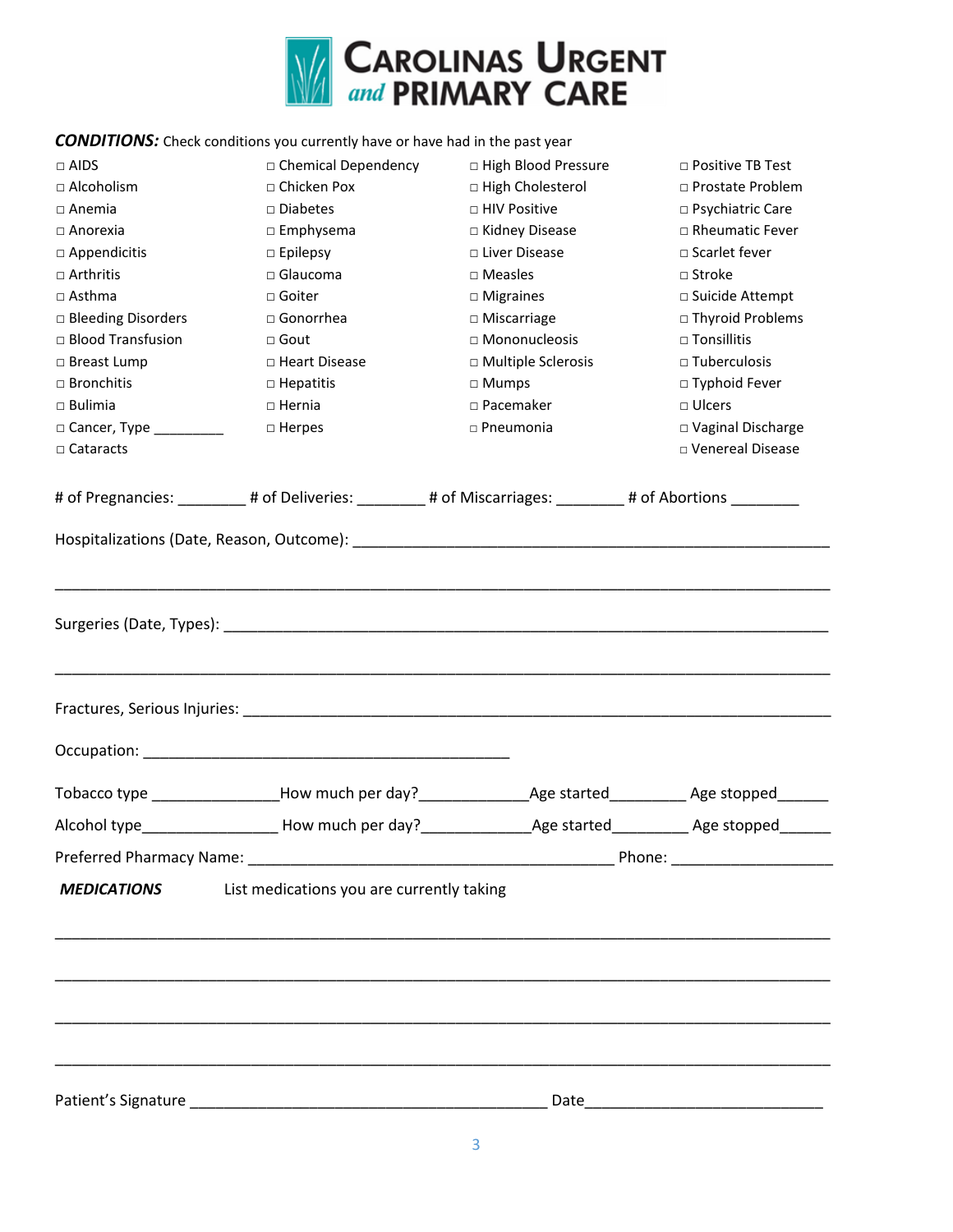

### **CONDITIONS:** Check conditions you currently have or have had in the past year

| Preferred Pharmacy Name:<br><b>MEDICATIONS</b>                                  | Alcohol type___________________How much per day?____________________Age started_____________Age stopped_______<br>List medications you are currently taking |                                        |                                         |
|---------------------------------------------------------------------------------|-------------------------------------------------------------------------------------------------------------------------------------------------------------|----------------------------------------|-----------------------------------------|
|                                                                                 |                                                                                                                                                             |                                        |                                         |
|                                                                                 |                                                                                                                                                             |                                        |                                         |
|                                                                                 |                                                                                                                                                             |                                        |                                         |
|                                                                                 |                                                                                                                                                             |                                        |                                         |
|                                                                                 |                                                                                                                                                             |                                        |                                         |
|                                                                                 |                                                                                                                                                             |                                        |                                         |
|                                                                                 |                                                                                                                                                             |                                        |                                         |
|                                                                                 |                                                                                                                                                             |                                        |                                         |
|                                                                                 |                                                                                                                                                             |                                        |                                         |
|                                                                                 |                                                                                                                                                             |                                        |                                         |
|                                                                                 |                                                                                                                                                             |                                        |                                         |
|                                                                                 | # of Pregnancies: _________# of Deliveries: ________# of Miscarriages: _______# of Abortions ________                                                       |                                        |                                         |
| $\Box$ Cataracts                                                                |                                                                                                                                                             |                                        | □ Venereal Disease                      |
| □ Cancer, Type __________                                                       | $\square$ Herpes                                                                                                                                            | $\square$ Pneumonia                    | □ Vaginal Discharge                     |
| $\Box$ Bulimia                                                                  | $\Box$ Hernia                                                                                                                                               | □ Pacemaker                            | $\Box$ Ulcers                           |
| □ Bronchitis                                                                    | $\Box$ Hepatitis                                                                                                                                            | $\Box$ Mumps                           | $\Box$ Typhoid Fever                    |
| □ Breast Lump                                                                   | □ Heart Disease                                                                                                                                             | □ Multiple Sclerosis                   | $\square$ Tuberculosis                  |
| □ Blood Transfusion                                                             | $\Box$ Gout                                                                                                                                                 | □ Mononucleosis                        | $\Box$ Tonsillitis                      |
| $\Box$ Asthma<br>□ Bleeding Disorders                                           | $\square$ Goiter<br>$\Box$ Gonorrhea                                                                                                                        | $\Box$ Migraines<br>$\Box$ Miscarriage | □ Suicide Attempt<br>□ Thyroid Problems |
| $\Box$ Arthritis                                                                | □ Glaucoma                                                                                                                                                  | $\square$ Measles                      | $\Box$ Stroke                           |
|                                                                                 | $\Box$ Epilepsy                                                                                                                                             | □ Liver Disease                        | $\sqcap$ Scarlet fever                  |
|                                                                                 | $\Box$ Emphysema                                                                                                                                            | □ Kidney Disease                       | □ Rheumatic Fever                       |
|                                                                                 | $\square$ Diabetes                                                                                                                                          | $\Box$ HIV Positive                    | □ Psychiatric Care                      |
|                                                                                 |                                                                                                                                                             | □ High Cholesterol                     | □ Prostate Problem                      |
| $\Box$ Alcoholism<br>$\Box$ Anemia<br>$\Box$ Anorexia<br>$\square$ Appendicitis | □ Chicken Pox                                                                                                                                               |                                        |                                         |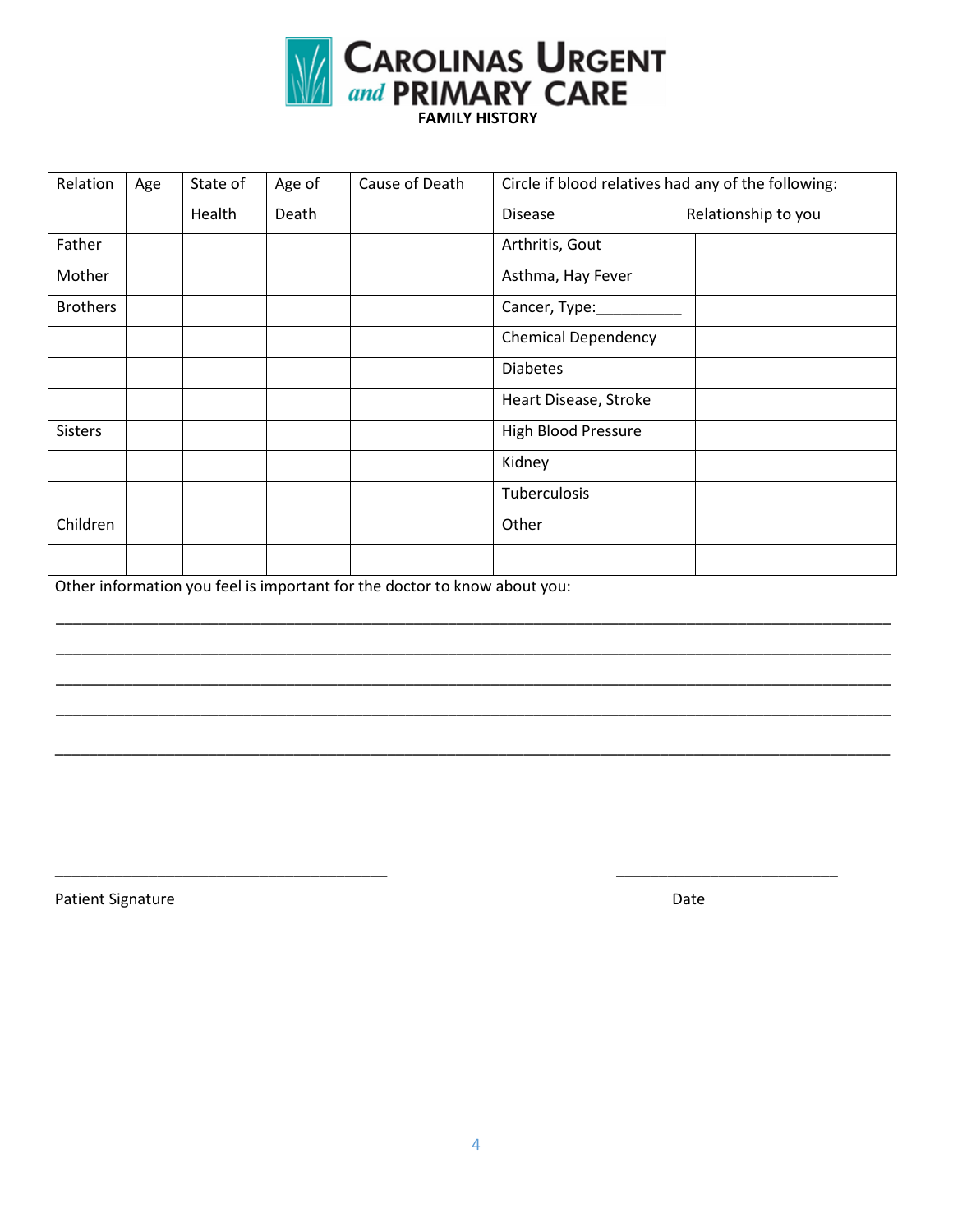

| Relation        | Age | State of | Age of | Cause of Death | Circle if blood relatives had any of the following: |
|-----------------|-----|----------|--------|----------------|-----------------------------------------------------|
|                 |     | Health   | Death  |                | Relationship to you<br><b>Disease</b>               |
| Father          |     |          |        |                | Arthritis, Gout                                     |
| Mother          |     |          |        |                | Asthma, Hay Fever                                   |
| <b>Brothers</b> |     |          |        |                | Cancer, Type:                                       |
|                 |     |          |        |                | <b>Chemical Dependency</b>                          |
|                 |     |          |        |                | <b>Diabetes</b>                                     |
|                 |     |          |        |                | Heart Disease, Stroke                               |
| <b>Sisters</b>  |     |          |        |                | <b>High Blood Pressure</b>                          |
|                 |     |          |        |                | Kidney                                              |
|                 |     |          |        |                | Tuberculosis                                        |
| Children        |     |          |        |                | Other                                               |
|                 |     |          |        |                |                                                     |

\_\_\_\_\_\_\_\_\_\_\_\_\_\_\_\_\_\_\_\_\_\_\_\_\_\_\_\_\_\_\_\_\_\_\_\_\_\_\_\_\_\_\_\_\_\_\_\_\_\_\_\_\_\_\_\_\_\_\_\_\_\_\_\_\_\_\_\_\_\_\_\_\_\_\_\_\_\_\_\_\_\_\_\_\_\_\_\_\_\_\_\_\_\_\_\_\_\_ \_\_\_\_\_\_\_\_\_\_\_\_\_\_\_\_\_\_\_\_\_\_\_\_\_\_\_\_\_\_\_\_\_\_\_\_\_\_\_\_\_\_\_\_\_\_\_\_\_\_\_\_\_\_\_\_\_\_\_\_\_\_\_\_\_\_\_\_\_\_\_\_\_\_\_\_\_\_\_\_\_\_\_\_\_\_\_\_\_\_\_\_\_\_\_\_\_\_ \_\_\_\_\_\_\_\_\_\_\_\_\_\_\_\_\_\_\_\_\_\_\_\_\_\_\_\_\_\_\_\_\_\_\_\_\_\_\_\_\_\_\_\_\_\_\_\_\_\_\_\_\_\_\_\_\_\_\_\_\_\_\_\_\_\_\_\_\_\_\_\_\_\_\_\_\_\_\_\_\_\_\_\_\_\_\_\_\_\_\_\_\_\_\_\_\_\_ \_\_\_\_\_\_\_\_\_\_\_\_\_\_\_\_\_\_\_\_\_\_\_\_\_\_\_\_\_\_\_\_\_\_\_\_\_\_\_\_\_\_\_\_\_\_\_\_\_\_\_\_\_\_\_\_\_\_\_\_\_\_\_\_\_\_\_\_\_\_\_\_\_\_\_\_\_\_\_\_\_\_\_\_\_\_\_\_\_\_\_\_\_\_\_\_\_\_

\_\_\_\_\_\_\_\_\_\_\_\_\_\_\_\_\_\_\_\_\_\_\_\_\_\_\_\_\_\_\_\_\_\_\_\_\_\_\_\_\_\_\_\_\_\_\_\_\_\_\_\_\_\_\_\_\_\_\_\_\_\_\_\_\_\_\_\_\_\_\_\_\_\_\_\_\_\_\_\_\_\_\_\_\_\_\_\_\_\_\_\_\_\_\_\_\_\_

\_\_\_\_\_\_\_\_\_\_\_\_\_\_\_\_\_\_\_\_\_\_\_\_\_\_\_\_\_\_\_\_\_\_\_\_\_\_\_ \_\_\_\_\_\_\_\_\_\_\_\_\_\_\_\_\_\_\_\_\_\_\_\_\_\_

Other information you feel is important for the doctor to know about you:

Patient Signature Date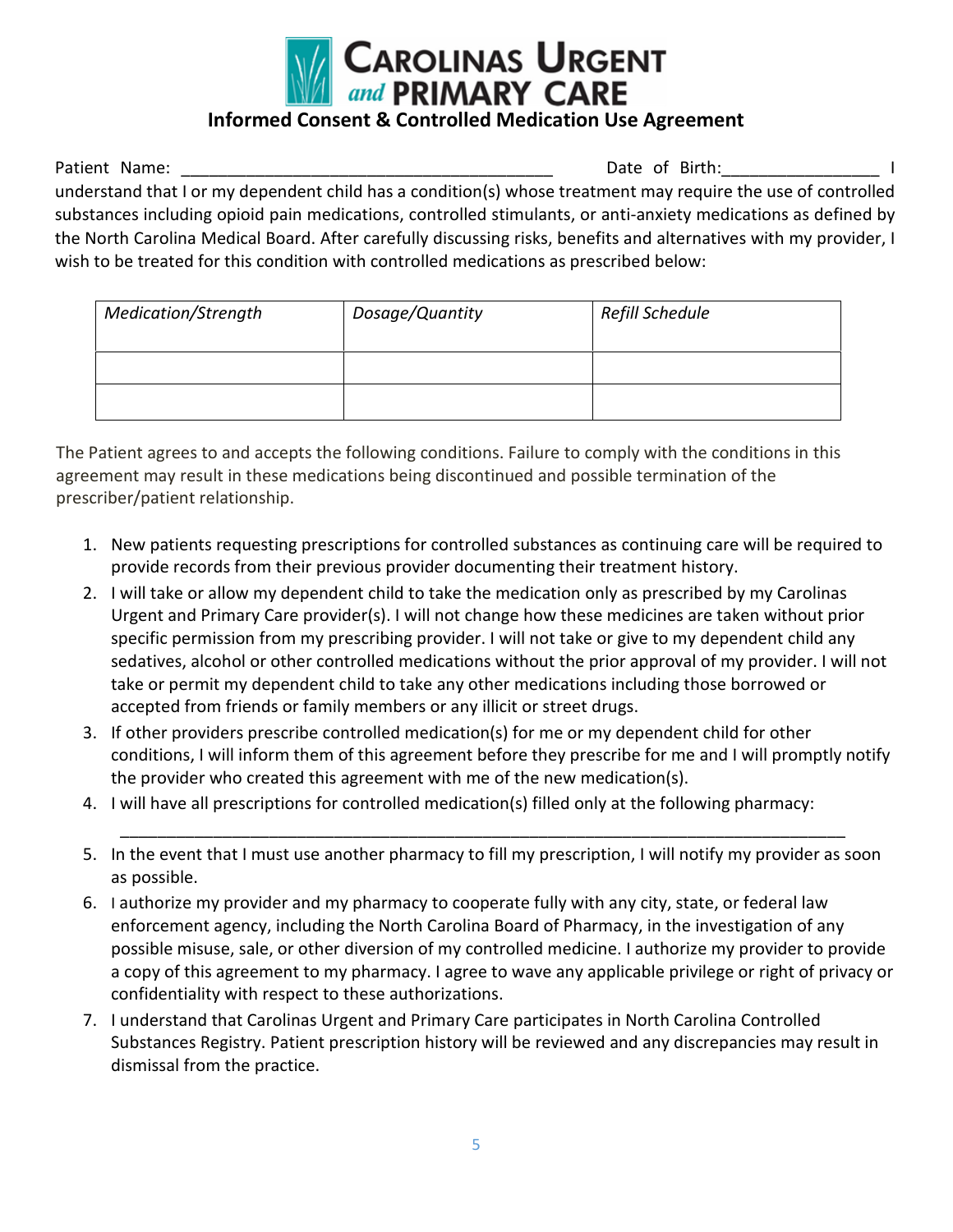

### **Informed Consent & Controlled Medication Use Agreement**

Patient Name: \_\_\_\_\_\_\_\_\_\_\_\_\_\_\_\_\_\_\_\_\_\_\_\_\_\_\_\_\_\_\_\_\_\_\_\_\_\_\_\_ Date of Birth:\_\_\_\_\_\_\_\_\_\_\_\_\_\_\_\_\_ I understand that I or my dependent child has a condition(s) whose treatment may require the use of controlled substances including opioid pain medications, controlled stimulants, or anti-anxiety medications as defined by the North Carolina Medical Board. After carefully discussing risks, benefits and alternatives with my provider, I wish to be treated for this condition with controlled medications as prescribed below:

| <b>Medication/Strength</b> | Dosage/Quantity | Refill Schedule |
|----------------------------|-----------------|-----------------|
|                            |                 |                 |
|                            |                 |                 |

The Patient agrees to and accepts the following conditions. Failure to comply with the conditions in this agreement may result in these medications being discontinued and possible termination of the prescriber/patient relationship.

- 1. New patients requesting prescriptions for controlled substances as continuing care will be required to provide records from their previous provider documenting their treatment history.
- 2. I will take or allow my dependent child to take the medication only as prescribed by my Carolinas Urgent and Primary Care provider(s). I will not change how these medicines are taken without prior specific permission from my prescribing provider. I will not take or give to my dependent child any sedatives, alcohol or other controlled medications without the prior approval of my provider. I will not take or permit my dependent child to take any other medications including those borrowed or accepted from friends or family members or any illicit or street drugs.
- 3. If other providers prescribe controlled medication(s) for me or my dependent child for other conditions, I will inform them of this agreement before they prescribe for me and I will promptly notify the provider who created this agreement with me of the new medication(s).
- 4. I will have all prescriptions for controlled medication(s) filled only at the following pharmacy:
- 5. In the event that I must use another pharmacy to fill my prescription, I will notify my provider as soon as possible.

\_\_\_\_\_\_\_\_\_\_\_\_\_\_\_\_\_\_\_\_\_\_\_\_\_\_\_\_\_\_\_\_\_\_\_\_\_\_\_\_\_\_\_\_\_\_\_\_\_\_\_\_\_\_\_\_\_\_\_\_\_\_\_\_\_\_\_\_\_\_\_\_\_\_\_\_\_\_

- 6. I authorize my provider and my pharmacy to cooperate fully with any city, state, or federal law enforcement agency, including the North Carolina Board of Pharmacy, in the investigation of any possible misuse, sale, or other diversion of my controlled medicine. I authorize my provider to provide a copy of this agreement to my pharmacy. I agree to wave any applicable privilege or right of privacy or confidentiality with respect to these authorizations.
- 7. I understand that Carolinas Urgent and Primary Care participates in North Carolina Controlled Substances Registry. Patient prescription history will be reviewed and any discrepancies may result in dismissal from the practice.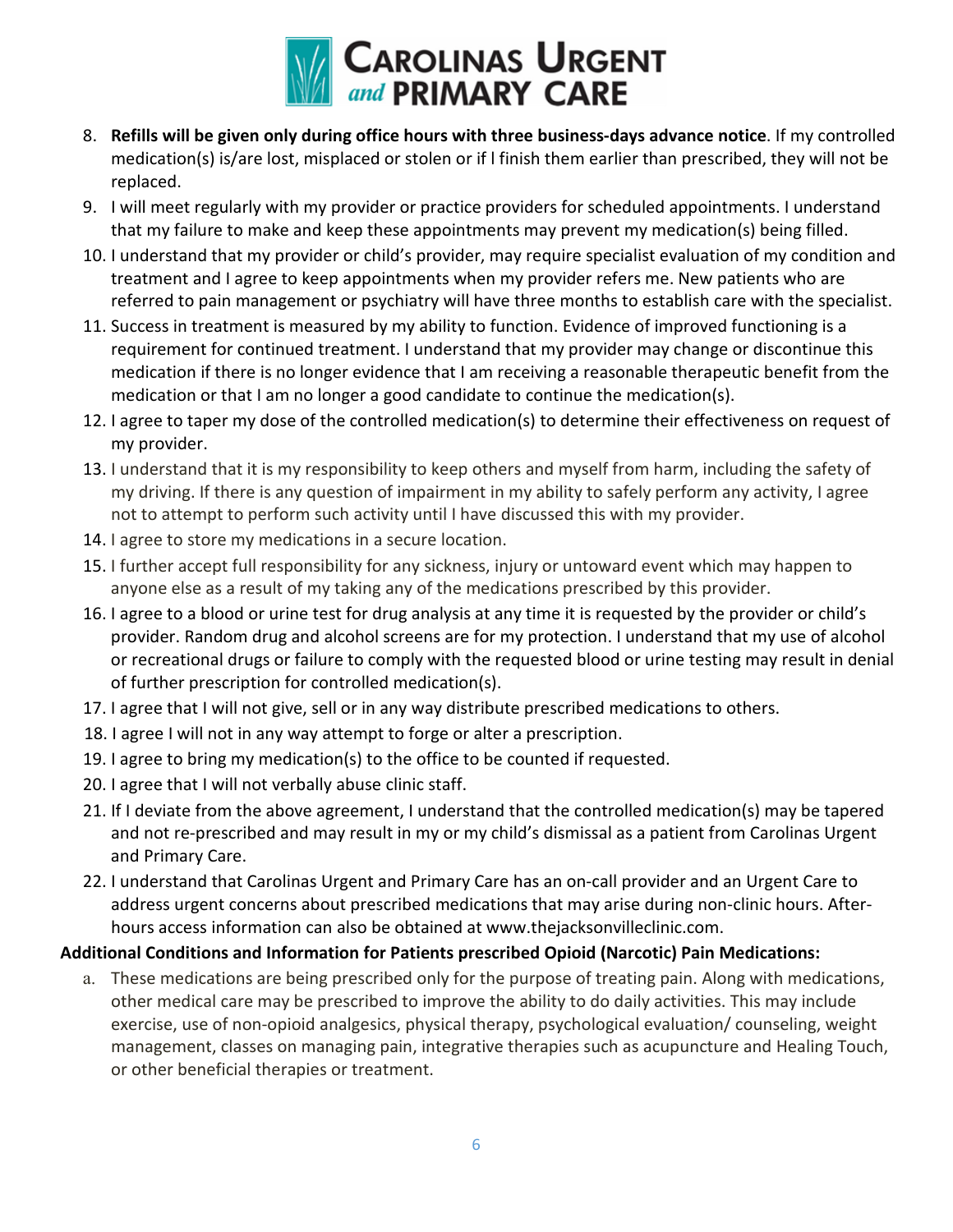

- 8. **Refills will be given only during office hours with three business-days advance notice**. If my controlled medication(s) is/are lost, misplaced or stolen or if l finish them earlier than prescribed, they will not be replaced.
- 9. I will meet regularly with my provider or practice providers for scheduled appointments. I understand that my failure to make and keep these appointments may prevent my medication(s) being filled.
- 10. I understand that my provider or child's provider, may require specialist evaluation of my condition and treatment and I agree to keep appointments when my provider refers me. New patients who are referred to pain management or psychiatry will have three months to establish care with the specialist.
- 11. Success in treatment is measured by my ability to function. Evidence of improved functioning is a requirement for continued treatment. I understand that my provider may change or discontinue this medication if there is no longer evidence that I am receiving a reasonable therapeutic benefit from the medication or that I am no longer a good candidate to continue the medication(s).
- 12. I agree to taper my dose of the controlled medication(s) to determine their effectiveness on request of my provider.
- 13. I understand that it is my responsibility to keep others and myself from harm, including the safety of my driving. If there is any question of impairment in my ability to safely perform any activity, I agree not to attempt to perform such activity until I have discussed this with my provider.
- 14. I agree to store my medications in a secure location.
- 15. I further accept full responsibility for any sickness, injury or untoward event which may happen to anyone else as a result of my taking any of the medications prescribed by this provider.
- 16. I agree to a blood or urine test for drug analysis at any time it is requested by the provider or child's provider. Random drug and alcohol screens are for my protection. I understand that my use of alcohol or recreational drugs or failure to comply with the requested blood or urine testing may result in denial of further prescription for controlled medication(s).
- 17. I agree that I will not give, sell or in any way distribute prescribed medications to others.
- 18. I agree I will not in any way attempt to forge or alter a prescription.
- 19. I agree to bring my medication(s) to the office to be counted if requested.
- 20. I agree that I will not verbally abuse clinic staff.
- 21. If I deviate from the above agreement, I understand that the controlled medication(s) may be tapered and not re-prescribed and may result in my or my child's dismissal as a patient from Carolinas Urgent and Primary Care.
- 22. I understand that Carolinas Urgent and Primary Care has an on-call provider and an Urgent Care to address urgent concerns about prescribed medications that may arise during non-clinic hours. Afterhours access information can also be obtained at www.thejacksonvilleclinic.com.

### **Additional Conditions and Information for Patients prescribed Opioid (Narcotic) Pain Medications:**

a. These medications are being prescribed only for the purpose of treating pain. Along with medications, other medical care may be prescribed to improve the ability to do daily activities. This may include exercise, use of non-opioid analgesics, physical therapy, psychological evaluation/ counseling, weight management, classes on managing pain, integrative therapies such as acupuncture and Healing Touch, or other beneficial therapies or treatment.